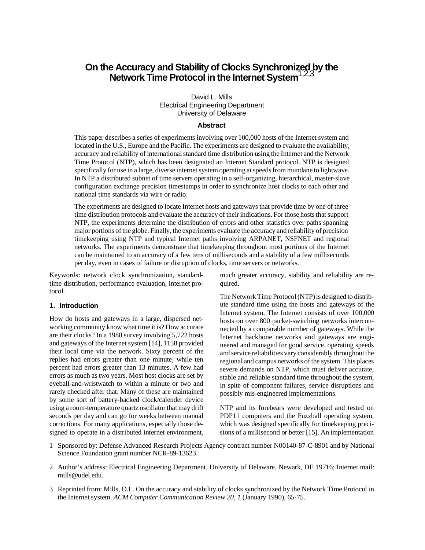# **On the Accuracy and Stability of Clocks Synchronized by the Network Time Protocol in the Internet System**1,2,3

David L. Mills Electrical Engineering Department University of Delaware

#### **Abstract**

This paper describes a series of experiments involving over 100,000 hosts of the Internet system and located in the U.S., Europe and the Pacific. The experiments are designed to evaluate the availability, accuracy and reliability of international standard time distribution using the Internet and the Network Time Protocol (NTP), which has been designated an Internet Standard protocol. NTP is designed specifically for use in a large, diverse internet system operating at speeds from mundane to lightwave. In NTP a distributed subnet of time servers operating in a self-organizing, hierarchical, master-slave configuration exchange precision timestamps in order to synchronize host clocks to each other and national time standards via wire or radio.

The experiments are designed to locate Internet hosts and gateways that provide time by one of three time distribution protocols and evaluate the accuracy of their indications. For those hosts that support NTP, the experiments determine the distribution of errors and other statistics over paths spanning major portions of the globe. Finally, the experiments evaluate the accuracy and reliability of precision timekeeping using NTP and typical Internet paths involving ARPANET, NSFNET and regional networks. The experiments demonstrate that timekeeping throughout most portions of the Internet can be maintained to an accuracy of a few tens of milliseconds and a stability of a few milliseconds per day, even in cases of failure or disruption of clocks, time servers or networks.

Keywords: network clock synchronization, standardtime distribution, performance evaluation, internet protocol.

## **1. Introduction**

How do hosts and gateways in a large, dispersed networking community know what time it is? How accurate are their clocks? In a 1988 survey involving 5,722 hosts and gateways of the Internet system [14], 1158 provided their local time via the network. Sixty percent of the replies had errors greater than one minute, while ten percent had errors greater than 13 minutes. A few had errors as much as two years. Most host clocks are set by eyeball-and-wristwatch to within a minute or two and rarely checked after that. Many of these are maintained by some sort of battery-backed clock/calender device using a room-temperature quartz oscillator that may drift seconds per day and can go for weeks between manual corrections. For many applications, especially those designed to operate in a distributed internet environment, much greater accuracy, stability and reliability are required.

The Network Time Protocol (NTP) is designed to distribute standard time using the hosts and gateways of the Internet system. The Internet consists of over 100,000 hosts on over 800 packet-switching networks interconnected by a comparable number of gateways. While the Internet backbone networks and gateways are engineered and managed for good service, operating speeds and service reliabilities vary considerably throughout the regional and campus networks of the system. This places severe demands on NTP, which must deliver accurate, stable and reliable standard time throughout the system, in spite of component failures, service disruptions and possibly mis-engineered implementations.

NTP and its forebears were developed and tested on PDP11 computers and the Fuzzball operating system, which was designed specifically for timekeeping precisions of a millisecond or better [15]. An implementation

- 1 Sponsored by: Defense Advanced Research Projects Agency contract number N00140-87-C-8901 and by National Science Foundation grant number NCR-89-13623.
- 2 Author's address: Electrical Engineering Department, University of Delaware, Newark, DE 19716; Internet mail: mills@udel.edu.
- 3 Reprinted from: Mills, D.L. On the accuracy and stability of clocks synchronized by the Network Time Protocol in the Internet system. *ACM Computer Communication Review 20, 1* (January 1990), 65-75.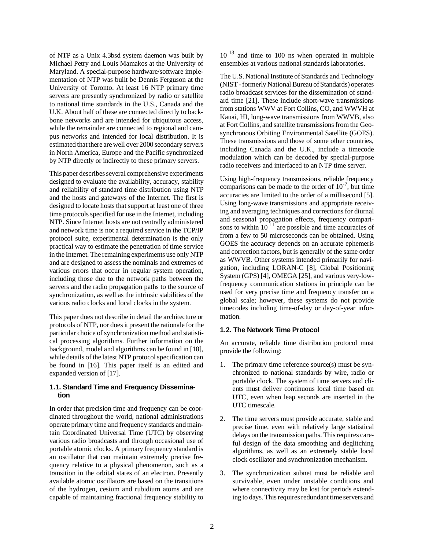of NTP as a Unix 4.3bsd system daemon was built by Michael Petry and Louis Mamakos at the University of Maryland. A special-purpose hardware/software implementation of NTP was built be Dennis Ferguson at the University of Toronto. At least 16 NTP primary time servers are presently synchronized by radio or satellite to national time standards in the U.S., Canada and the U.K. About half of these are connected directly to backbone networks and are intended for ubiquitous access, while the remainder are connected to regional and campus networks and intended for local distribution. It is estimated that there are well over 2000 secondary servers in North America, Europe and the Pacific synchronized by NTP directly or indirectly to these primary servers.

This paper describes several comprehensive experiments designed to evaluate the availability, accuracy, stability and reliability of standard time distribution using NTP and the hosts and gateways of the Internet. The first is designed to locate hosts that support at least one of three time protocols specified for use in the Internet, including NTP. Since Internet hosts are not centrally administered and network time is not a required service in the TCP/IP protocol suite, experimental determination is the only practical way to estimate the penetration of time service in the Internet. The remaining experiments use only NTP and are designed to assess the nominals and extremes of various errors that occur in regular system operation, including those due to the network paths between the servers and the radio propagation paths to the source of synchronization, as well as the intrinsic stabilities of the various radio clocks and local clocks in the system.

This paper does not describe in detail the architecture or protocols of NTP, nor does it present the rationale for the particular choice of synchronization method and statistical processing algorithms. Further information on the background, model and algorithms can be found in [18], while details of the latest NTP protocol specification can be found in [16]. This paper itself is an edited and expanded version of [17].

# **1.1. Standard Time and Frequency Dissemination**

In order that precision time and frequency can be coordinated throughout the world, national administrations operate primary time and frequency standards and maintain Coordinated Universal Time (UTC) by observing various radio broadcasts and through occasional use of portable atomic clocks. A primary frequency standard is an oscillator that can maintain extremely precise frequency relative to a physical phenomenon, such as a transition in the orbital states of an electron. Presently available atomic oscillators are based on the transitions of the hydrogen, cesium and rubidium atoms and are capable of maintaining fractional frequency stability to

 $10^{-13}$  and time to 100 ns when operated in multiple ensembles at various national standards laboratories.

The U.S. National Institute of Standards and Technology (NIST - formerly National Bureau of Standards) operates radio broadcast services for the dissemination of standard time [21]. These include short-wave transmissions from stations WWV at Fort Collins, CO, and WWVH at Kauai, HI, long-wave transmissions from WWVB, also at Fort Collins, and satellite transmissions from the Geosynchronous Orbiting Environmental Satellite (GOES). These transmissions and those of some other countries, including Canada and the U.K., include a timecode modulation which can be decoded by special-purpose radio receivers and interfaced to an NTP time server.

Using high-frequency transmissions, reliable frequency comparisons can be made to the order of  $10^{-7}$ , but time accuracies are limited to the order of a millisecond [5]. Using long-wave transmissions and appropriate receiving and averaging techniques and corrections for diurnal and seasonal propagation effects, frequency comparisons to within  $10^{-11}$  are possible and time accuracies of from a few to 50 microseconds can be obtained. Using GOES the accuracy depends on an accurate ephemeris and correction factors, but is generally of the same order as WWVB. Other systems intended primarily for navigation, including LORAN-C [8], Global Positioning System (GPS) [4], OMEGA [25], and various very-lowfrequency communication stations in principle can be used for very precise time and frequency transfer on a global scale; however, these systems do not provide timecodes including time-of-day or day-of-year information.

### **1.2. The Network Time Protocol**

An accurate, reliable time distribution protocol must provide the following:

- 1. The primary time reference source(s) must be synchronized to national standards by wire, radio or portable clock. The system of time servers and clients must deliver continuous local time based on UTC, even when leap seconds are inserted in the UTC timescale.
- 2. The time servers must provide accurate, stable and precise time, even with relatively large statistical delays on the transmission paths. This requires careful design of the data smoothing and deglitching algorithms, as well as an extremely stable local clock oscillator and synchronization mechanism.
- 3. The synchronization subnet must be reliable and survivable, even under unstable conditions and where connectivity may be lost for periods extending to days. This requires redundant time servers and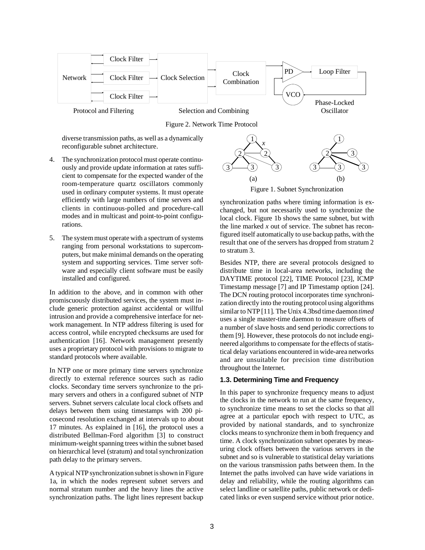

Figure 2. Network Time Protocol

diverse transmission paths, as well as a dynamically reconfigurable subnet architecture.

- 4. The synchronization protocol must operate continuously and provide update information at rates sufficient to compensate for the expected wander of the room-temperature quartz oscillators commonly used in ordinary computer systems. It must operate efficiently with large numbers of time servers and clients in continuous-polled and procedure-call modes and in multicast and point-to-point configurations.
- 5. The system must operate with a spectrum of systems ranging from personal workstations to supercomputers, but make minimal demands on the operating system and supporting services. Time server software and especially client software must be easily installed and configured.

In addition to the above, and in common with other promiscuously distributed services, the system must include generic protection against accidental or willful intrusion and provide a comprehensive interface for network management. In NTP address filtering is used for access control, while encrypted checksums are used for authentication [16]. Network management presently uses a proprietary protocol with provisions to migrate to standard protocols where available.

In NTP one or more primary time servers synchronize directly to external reference sources such as radio clocks. Secondary time servers synchronize to the primary servers and others in a configured subnet of NTP servers. Subnet servers calculate local clock offsets and delays between them using timestamps with 200 picosecond resolution exchanged at intervals up to about 17 minutes. As explained in [16], the protocol uses a distributed Bellman-Ford algorithm [3] to construct minimum-weight spanning trees within the subnet based on hierarchical level (stratum) and total synchronization path delay to the primary servers.

A typical NTP synchronization subnet is shown in Figure 1a, in which the nodes represent subnet servers and normal stratum number and the heavy lines the active synchronization paths. The light lines represent backup



Figure 1. Subnet Synchronization

synchronization paths where timing information is exchanged, but not necessarily used to synchronize the local clock. Figure 1b shows the same subnet, but with the line marked *x* out of service. The subnet has reconfigured itself automatically to use backup paths, with the result that one of the servers has dropped from stratum 2 to stratum 3.

Besides NTP, there are several protocols designed to distribute time in local-area networks, including the DAYTIME protocol [22], TIME Protocol [23], ICMP Timestamp message [7] and IP Timestamp option [24]. The DCN routing protocol incorporates time synchronization directly into the routing protocol using algorithms similar to NTP [11]. The Unix 4.3bsd time daemon *timed* uses a single master-time daemon to measure offsets of a number of slave hosts and send periodic corrections to them [9]. However, these protocols do not include engineered algorithms to compensate for the effects of statistical delay variations encountered in wide-area networks and are unsuitable for precision time distribution throughout the Internet.

# **1.3. Determining Time and Frequency**

In this paper to synchronize frequency means to adjust the clocks in the network to run at the same frequency, to synchronize time means to set the clocks so that all agree at a particular epoch with respect to UTC, as provided by national standards, and to synchronize clocks means to synchronize them in both frequency and time. A clock synchronization subnet operates by measuring clock offsets between the various servers in the subnet and so is vulnerable to statistical delay variations on the various transmission paths between them. In the Internet the paths involved can have wide variations in delay and reliability, while the routing algorithms can select landline or satellite paths, public network or dedicated links or even suspend service without prior notice.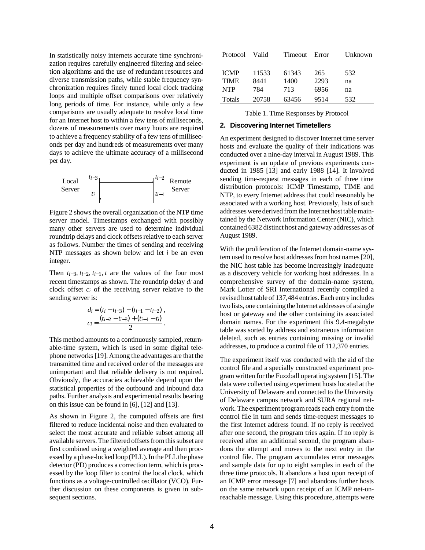In statistically noisy internets accurate time synchronization requires carefully engineered filtering and selection algorithms and the use of redundant resources and diverse transmission paths, while stable frequency synchronization requires finely tuned local clock tracking loops and multiple offset comparisons over relatively long periods of time. For instance, while only a few comparisons are usually adequate to resolve local time for an Internet host to within a few tens of milliseconds, dozens of measurements over many hours are required to achieve a frequency stability of a few tens of milliseconds per day and hundreds of measurements over many days to achieve the ultimate accuracy of a millisecond per day.



Figure 2 shows the overall organization of the NTP time server model. Timestamps exchanged with possibly many other servers are used to determine individual roundtrip delays and clock offsets relative to each server as follows. Number the times of sending and receiving NTP messages as shown below and let *i* be an even integer.

Then  $t_{i-3}$ ,  $t_{i-2}$ ,  $t_{i-1}$ ,  $t$  are the values of the four most recent timestamps as shown. The roundtrip delay *di* and clock offset *ci* of the receiving server relative to the sending server is:

$$
di = (t_i - t_{i-3}) - (t_{i-1} - t_{i-2}),
$$
  
\n
$$
c_i = \frac{(t_{i-2} - t_{i-3}) + (t_{i-1} - t_i)}{2}.
$$

This method amounts to a continuously sampled, returnable-time system, which is used in some digital telephone networks [19]. Among the advantages are that the transmitted time and received order of the messages are unimportant and that reliable delivery is not required. Obviously, the accuracies achievable depend upon the statistical properties of the outbound and inbound data paths. Further analysis and experimental results bearing on this issue can be found in [6], [12] and [13].

As shown in Figure 2, the computed offsets are first filtered to reduce incidental noise and then evaluated to select the most accurate and reliable subset among all available servers. The filtered offsets from this subset are first combined using a weighted average and then processed by a phase-locked loop (PLL). In the PLL the phase detector (PD) produces a correction term, which is processed by the loop filter to control the local clock, which functions as a voltage-controlled oscillator (VCO). Further discussion on these components is given in subsequent sections.

| Protocol    | Valid | Timeout | Error | Unknown |
|-------------|-------|---------|-------|---------|
| <b>ICMP</b> | 11533 | 61343   | 265   | 532     |
| <b>TIME</b> | 8441  | 1400    | 2293  | na      |
| <b>NTP</b>  | 784   | 713     | 6956  | na      |
| Totals      | 20758 | 63456   | 9514  | 532     |

Table 1. Time Responses by Protocol

### **2. Discovering Internet Timetellers**

An experiment designed to discover Internet time server hosts and evaluate the quality of their indications was conducted over a nine-day interval in August 1989. This experiment is an update of previous experiments conducted in 1985 [13] and early 1988 [14]. It involved sending time-request messages in each of three time distribution protocols: ICMP Timestamp, TIME and NTP, to every Internet address that could reasonably be associated with a working host. Previously, lists of such addresses were derived from the Internet host table maintained by the Network Information Center (NIC), which contained 6382 distinct host and gateway addresses as of August 1989.

With the proliferation of the Internet domain-name system used to resolve host addresses from host names [20], the NIC host table has become increasingly inadequate as a discovery vehicle for working host addresses. In a comprehensive survey of the domain-name system, Mark Lotter of SRI International recently compiled a revised host table of 137,484 entries. Each entry includes two lists, one containing the Internet addresses of a single host or gateway and the other containing its associated domain names. For the experiment this 9.4-megabyte table was sorted by address and extraneous information deleted, such as entries containing missing or invalid addresses, to produce a control file of 112,370 entries.

The experiment itself was conducted with the aid of the control file and a specially constructed experiment program written for the Fuzzball operating system [15]. The data were collected using experiment hosts located at the University of Delaware and connected to the University of Delaware campus network and SURA regional network. The experiment program reads each entry from the control file in turn and sends time-request messages to the first Internet address found. If no reply is received after one second, the program tries again. If no reply is received after an additional second, the program abandons the attempt and moves to the next entry in the control file. The program accumulates error messages and sample data for up to eight samples in each of the three time protocols. It abandons a host upon receipt of an ICMP error message [7] and abandons further hosts on the same network upon receipt of an ICMP net-unreachable message. Using this procedure, attempts were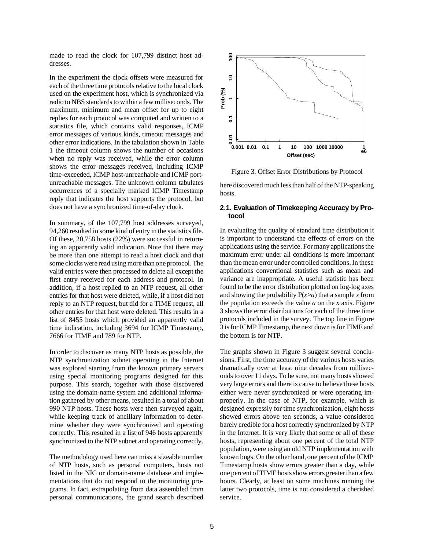made to read the clock for 107,799 distinct host addresses.

In the experiment the clock offsets were measured for each of the three time protocols relative to the local clock used on the experiment host, which is synchronized via radio to NBS standards to within a few milliseconds. The maximum, minimum and mean offset for up to eight replies for each protocol was computed and written to a statistics file, which contains valid responses, ICMP error messages of various kinds, timeout messages and other error indications. In the tabulation shown in Table 1 the timeout column shows the number of occasions when no reply was received, while the error column shows the error messages received, including ICMP time-exceeded, ICMP host-unreachable and ICMP portunreachable messages. The unknown column tabulates occurrences of a specially marked ICMP Timestamp reply that indicates the host supports the protocol, but does not have a synchronized time-of-day clock.

In summary, of the 107,799 host addresses surveyed, 94,260 resulted in some kind of entry in the statistics file. Of these, 20,758 hosts (22%) were successful in returning an apparently valid indication. Note that there may be more than one attempt to read a host clock and that some clocks were read using more than one protocol. The valid entries were then processed to delete all except the first entry received for each address and protocol. In addition, if a host replied to an NTP request, all other entries for that host were deleted, while, if a host did not reply to an NTP request, but did for a TIME request, all other entries for that host were deleted. This results in a list of 8455 hosts which provided an apparently valid time indication, including 3694 for ICMP Timestamp, 7666 for TIME and 789 for NTP.

In order to discover as many NTP hosts as possible, the NTP synchronization subnet operating in the Internet was explored starting from the known primary servers using special monitoring programs designed for this purpose. This search, together with those discovered using the domain-name system and additional information gathered by other means, resulted in a total of about 990 NTP hosts. These hosts were then surveyed again, while keeping track of ancillary information to determine whether they were synchronized and operating correctly. This resulted in a list of 946 hosts apparently synchronized to the NTP subnet and operating correctly.

The methodology used here can miss a sizeable number of NTP hosts, such as personal computers, hosts not listed in the NIC or domain-name database and implementations that do not respond to the monitoring programs. In fact, extrapolating from data assembled from personal communications, the grand search described



Figure 3. Offset Error Distributions by Protocol

here discovered much less than half of the NTP-speaking hosts.

### **2.1. Evaluation of Timekeeping Accuracy by Protocol**

In evaluating the quality of standard time distribution it is important to understand the effects of errors on the applications using the service. For many applications the maximum error under all conditions is more important than the mean error under controlled conditions. In these applications conventional statistics such as mean and variance are inappropriate. A useful statistic has been found to be the error distribution plotted on log-log axes and showing the probability  $P(x>a)$  that a sample *x* from the population exceeds the value *a* on the *x* axis. Figure 3 shows the error distributions for each of the three time protocols included in the survey. The top line in Figure 3 is for ICMP Timestamp, the next down is for TIME and the bottom is for NTP.

The graphs shown in Figure 3 suggest several conclusions. First, the time accuracy of the various hosts varies dramatically over at least nine decades from milliseconds to over 11 days. To be sure, not many hosts showed very large errors and there is cause to believe these hosts either were never synchronized or were operating improperly. In the case of NTP, for example, which is designed expressly for time synchronization, eight hosts showed errors above ten seconds, a value considered barely credible for a host correctly synchronized by NTP in the Internet. It is very likely that some or all of these hosts, representing about one percent of the total NTP population, were using an old NTP implementation with known bugs. On the other hand, one percent of the ICMP Timestamp hosts show errors greater than a day, while one percent of TIME hosts show errors greater than a few hours. Clearly, at least on some machines running the latter two protocols, time is not considered a cherished service.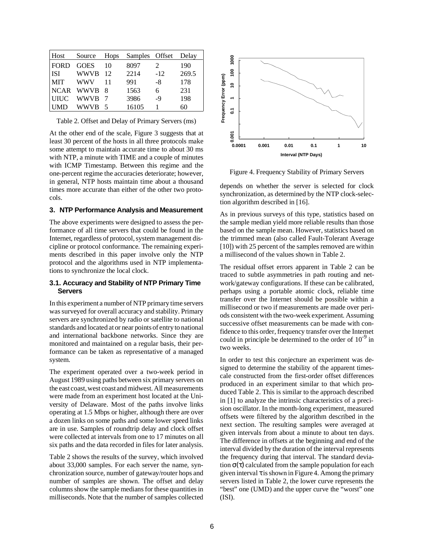| Host          | Source      | Hops | Samples Offset |       | Delay |
|---------------|-------------|------|----------------|-------|-------|
| <b>FORD</b>   | <b>GOES</b> | 10   | 8097           | 2     | 190   |
| <b>ISI</b>    | <b>WWVB</b> | - 12 | 2214           | $-12$ | 269.5 |
| <b>MIT</b>    | <b>WWV</b>  | 11   | 991            | -8    | 178   |
| <b>NCAR</b>   | WWVB 8      |      | 1563           | 6     | 231   |
| <b>IUILIC</b> | <b>WWVB</b> |      | 3986           | -9    | 198   |
| UMD           | WWVB        | - 5  | 16105          |       | 60    |

Table 2. Offset and Delay of Primary Servers (ms)

At the other end of the scale, Figure 3 suggests that at least 30 percent of the hosts in all three protocols make some attempt to maintain accurate time to about 30 ms with NTP, a minute with TIME and a couple of minutes with ICMP Timestamp. Between this regime and the one-percent regime the accuracies deteriorate; however, in general, NTP hosts maintain time about a thousand times more accurate than either of the other two protocols.

## **3. NTP Performance Analysis and Measurement**

The above experiments were designed to assess the performance of all time servers that could be found in the Internet, regardless of protocol, system management discipline or protocol conformance. The remaining experiments described in this paper involve only the NTP protocol and the algorithms used in NTP implementations to synchronize the local clock.

## **3.1. Accuracy and Stability of NTP Primary Time Servers**

In this experiment a number of NTP primary time servers was surveyed for overall accuracy and stability. Primary servers are synchronized by radio or satellite to national standards and located at or near points of entry to national and international backbone networks. Since they are monitored and maintained on a regular basis, their performance can be taken as representative of a managed system.

The experiment operated over a two-week period in August 1989 using paths between six primary servers on the east coast, west coast and midwest. All measurements were made from an experiment host located at the University of Delaware. Most of the paths involve links operating at 1.5 Mbps or higher, although there are over a dozen links on some paths and some lower speed links are in use. Samples of roundtrip delay and clock offset were collected at intervals from one to 17 minutes on all six paths and the data recorded in files for later analysis.

Table 2 shows the results of the survey, which involved about 33,000 samples. For each server the name, synchronization source, number of gateway/router hops and number of samples are shown. The offset and delay columns show the sample medians for these quantities in milliseconds. Note that the number of samples collected



Figure 4. Frequency Stability of Primary Servers

depends on whether the server is selected for clock synchronization, as determined by the NTP clock-selection algorithm described in [16].

As in previous surveys of this type, statistics based on the sample median yield more reliable results than those based on the sample mean. However, statistics based on the trimmed mean (also called Fault-Tolerant Average [10]) with 25 percent of the samples removed are within a millisecond of the values shown in Table 2.

The residual offset errors apparent in Table 2 can be traced to subtle asymmetries in path routing and network/gateway configurations. If these can be calibrated, perhaps using a portable atomic clock, reliable time transfer over the Internet should be possible within a millisecond or two if measurements are made over periods consistent with the two-week experiment. Assuming successive offset measurements can be made with confidence to this order, frequency transfer over the Internet could in principle be determined to the order of  $10^{-9}$  in two weeks.

In order to test this conjecture an experiment was designed to determine the stability of the apparent timescale constructed from the first-order offset differences produced in an experiment similar to that which produced Table 2. This is similar to the approach described in [1] to analyze the intrinsic characteristics of a precision oscillator. In the month-long experiment, measured offsets were filtered by the algorithm described in the next section. The resulting samples were averaged at given intervals from about a minute to about ten days. The difference in offsets at the beginning and end of the interval divided by the duration of the interval represents the frequency during that interval. The standard deviation  $\sigma(\tau)$  calculated from the sample population for each given interval  $\tau$  is shown in Figure 4. Among the primary servers listed in Table 2, the lower curve represents the "best" one (UMD) and the upper curve the "worst" one (ISI).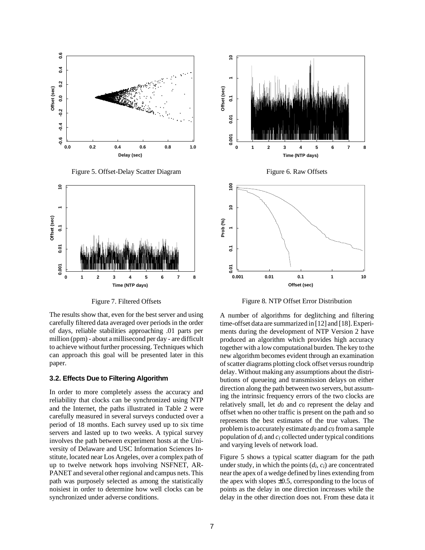

Figure 5. Offset-Delay Scatter Diagram



Figure 7. Filtered Offsets

The results show that, even for the best server and using carefully filtered data averaged over periods in the order of days, reliable stabilities approaching .01 parts per million (ppm) - about a millisecond per day - are difficult to achieve without further processing. Techniques which can approach this goal will be presented later in this paper.

## **3.2. Effects Due to Filtering Algorithm**

In order to more completely assess the accuracy and reliability that clocks can be synchronized using NTP and the Internet, the paths illustrated in Table 2 were carefully measured in several surveys conducted over a period of 18 months. Each survey used up to six time servers and lasted up to two weeks. A typical survey involves the path between experiment hosts at the University of Delaware and USC Information Sciences Institute, located near Los Angeles, over a complex path of up to twelve network hops involving NSFNET, AR-PANET and several other regional and campus nets. This path was purposely selected as among the statistically noisiest in order to determine how well clocks can be synchronized under adverse conditions.



Figure 8. NTP Offset Error Distribution

A number of algorithms for deglitching and filtering time-offset data are summarized in [12] and [18]. Experiments during the development of NTP Version 2 have produced an algorithm which provides high accuracy together with a low computational burden. The key to the new algorithm becomes evident through an examination of scatter diagrams plotting clock offset versus roundtrip delay. Without making any assumptions about the distributions of queueing and transmission delays on either direction along the path between two servers, but assuming the intrinsic frequency errors of the two clocks are relatively small, let *d*0 and *c*0 represent the delay and offset when no other traffic is present on the path and so represents the best estimates of the true values. The problem is to accurately estimate  $d_0$  and  $c_0$  from a sample population of *di* and *ci* collected under typical conditions and varying levels of network load.

Figure 5 shows a typical scatter diagram for the path under study, in which the points (*di*, *ci*) are concentrated near the apex of a wedge defined by lines extending from the apex with slopes  $\pm 0.5$ , corresponding to the locus of points as the delay in one direction increases while the delay in the other direction does not. From these data it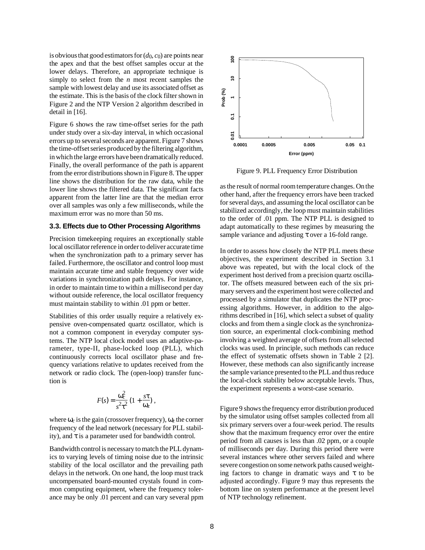is obvious that good estimators for (*d*0, *c*0) are points near the apex and that the best offset samples occur at the lower delays. Therefore, an appropriate technique is simply to select from the *n* most recent samples the sample with lowest delay and use its associated offset as the estimate. This is the basis of the clock filter shown in Figure 2 and the NTP Version 2 algorithm described in detail in [16].

Figure 6 shows the raw time-offset series for the path under study over a six-day interval, in which occasional errors up to several seconds are apparent. Figure 7 shows the time-offset series produced by the filtering algorithm, in which the large errors have been dramatically reduced. Finally, the overall performance of the path is apparent from the error distributions shown in Figure 8. The upper line shows the distribution for the raw data, while the lower line shows the filtered data. The significant facts apparent from the latter line are that the median error over all samples was only a few milliseconds, while the maximum error was no more than 50 ms.

### **3.3. Effects due to Other Processing Algorithms**

Precision timekeeping requires an exceptionally stable local oscillator reference in order to deliver accurate time when the synchronization path to a primary server has failed. Furthermore, the oscillator and control loop must maintain accurate time and stable frequency over wide variations in synchronization path delays. For instance, in order to maintain time to within a millisecond per day without outside reference, the local oscillator frequency must maintain stability to within .01 ppm or better.

Stabilities of this order usually require a relatively expensive oven-compensated quartz oscillator, which is not a common component in everyday computer systems. The NTP local clock model uses an adaptive-parameter, type-II, phase-locked loop (PLL), which continuously corrects local oscillator phase and frequency variations relative to updates received from the network or radio clock. The (open-loop) transfer function is

$$
F(s) = \frac{\omega_c^2}{s^2 \tau^2} \left(1 + \frac{s \tau}{\omega_z}\right),
$$

where  $\omega_c$  is the gain (crossover frequency),  $\omega_z$  the corner frequency of the lead network (necessary for PLL stability), and  $\tau$  is a parameter used for bandwidth control.

Bandwidth control is necessary to match the PLL dynamics to varying levels of timing noise due to the intrinsic stability of the local oscillator and the prevailing path delays in the network. On one hand, the loop must track uncompensated board-mounted crystals found in common computing equipment, where the frequency tolerance may be only .01 percent and can vary several ppm



Figure 9. PLL Frequency Error Distribution

as the result of normal room temperature changes. On the other hand, after the frequency errors have been tracked for several days, and assuming the local oscillator can be stabilized accordingly, the loop must maintain stabilities to the order of .01 ppm. The NTP PLL is designed to adapt automatically to these regimes by measuring the sample variance and adjusting τ over a 16-fold range.

In order to assess how closely the NTP PLL meets these objectives, the experiment described in Section 3.1 above was repeated, but with the local clock of the experiment host derived from a precision quartz oscillator. The offsets measured between each of the six primary servers and the experiment host were collected and processed by a simulator that duplicates the NTP processing algorithms. However, in addition to the algorithms described in [16], which select a subset of quality clocks and from them a single clock as the synchronization source, an experimental clock-combining method involving a weighted average of offsets from all selected clocks was used. In principle, such methods can reduce the effect of systematic offsets shown in Table 2 [2]. However, these methods can also significantly increase the sample variance presented to the PLL and thus reduce the local-clock stability below acceptable levels. Thus, the experiment represents a worst-case scenario.

Figure 9 shows the frequency error distribution produced by the simulator using offset samples collected from all six primary servers over a four-week period. The results show that the maximum frequency error over the entire period from all causes is less than .02 ppm, or a couple of milliseconds per day. During this period there were several instances where other servers failed and where severe congestion on some network paths caused weighting factors to change in dramatic ways and  $\tau$  to be adjusted accordingly. Figure 9 may thus represents the bottom line on system performance at the present level of NTP technology refinement.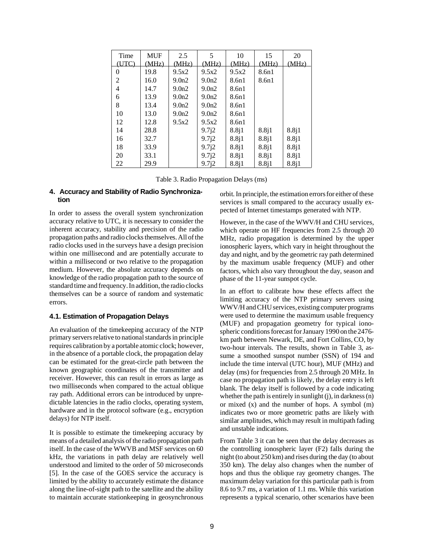| Time  | <b>MUF</b> | 2.5               | 5     | 10    | 15    | 20    |
|-------|------------|-------------------|-------|-------|-------|-------|
| (UTC) | (MHz)      | (MHz)             | (MHz) | (MHz) | (MHz) | (MHz) |
| 0     | 19.8       | 9.5x2             | 9.5x2 | 9.5x2 | 8.6n1 |       |
| 2     | 16.0       | 9.0 <sub>n2</sub> | 9.0n2 | 8.6n1 | 8.6n1 |       |
| 4     | 14.7       | 9.0 <sub>n2</sub> | 9.0n2 | 8.6n1 |       |       |
| 6     | 13.9       | 9.0 <sub>n2</sub> | 9.0n2 | 8.6n1 |       |       |
| 8     | 13.4       | 9.0 <sub>n2</sub> | 9.0n2 | 8.6n1 |       |       |
| 10    | 13.0       | 9.0 <sub>n2</sub> | 9.0n2 | 8.6n1 |       |       |
| 12    | 12.8       | 9.5x2             | 9.5x2 | 8.6n1 |       |       |
| 14    | 28.8       |                   | 9.7j2 | 8.8j1 | 8.8j1 | 8.8j1 |
| 16    | 32.7       |                   | 9.7j2 | 8.8j1 | 8.8j1 | 8.8j1 |
| 18    | 33.9       |                   | 9.7j2 | 8.8j1 | 8.8j1 | 8.8j1 |
| 20    | 33.1       |                   | 9.7j2 | 8.8j1 | 8.8j1 | 8.8j1 |
| 22    | 29.9       |                   | 9.7i2 | 8.8j1 | 8.8j1 | 8.8j1 |

Table 3. Radio Propagation Delays (ms)

## **4. Accuracy and Stability of Radio Synchronization**

In order to assess the overall system synchronization accuracy relative to UTC, it is necessary to consider the inherent accuracy, stability and precision of the radio propagation paths and radio clocks themselves. All of the radio clocks used in the surveys have a design precision within one millisecond and are potentially accurate to within a millisecond or two relative to the propagation medium. However, the absolute accuracy depends on knowledge of the radio propagation path to the source of standard time and frequency. In addition, the radio clocks themselves can be a source of random and systematic errors.

# **4.1. Estimation of Propagation Delays**

An evaluation of the timekeeping accuracy of the NTP primary servers relative to national standards in principle requires calibration by a portable atomic clock; however, in the absence of a portable clock, the propagation delay can be estimated for the great-circle path between the known geographic coordinates of the transmitter and receiver. However, this can result in errors as large as two milliseconds when compared to the actual oblique ray path. Additional errors can be introduced by unpredictable latencies in the radio clocks, operating system, hardware and in the protocol software (e.g., encryption delays) for NTP itself.

It is possible to estimate the timekeeping accuracy by means of a detailed analysis of the radio propagation path itself. In the case of the WWVB and MSF services on 60 kHz, the variations in path delay are relatively well understood and limited to the order of 50 microseconds [5]. In the case of the GOES service the accuracy is limited by the ability to accurately estimate the distance along the line-of-sight path to the satellite and the ability to maintain accurate stationkeeping in geosynchronous

orbit. In principle, the estimation errors for either of these services is small compared to the accuracy usually expected of Internet timestamps generated with NTP.

However, in the case of the WWV/H and CHU services, which operate on HF frequencies from 2.5 through 20 MHz, radio propagation is determined by the upper ionospheric layers, which vary in height throughout the day and night, and by the geometric ray path determined by the maximum usable frequency (MUF) and other factors, which also vary throughout the day, season and phase of the 11-year sunspot cycle.

In an effort to calibrate how these effects affect the limiting accuracy of the NTP primary servers using WWV/H and CHU services, existing computer programs were used to determine the maximum usable frequency (MUF) and propagation geometry for typical ionospheric conditions forecast for January 1990 on the 2476 km path between Newark, DE, and Fort Collins, CO, by two-hour intervals. The results, shown in Table 3, assume a smoothed sunspot number (SSN) of 194 and include the time interval (UTC hour), MUF (MHz) and delay (ms) for frequencies from 2.5 through 20 MHz. In case no propagation path is likely, the delay entry is left blank. The delay itself is followed by a code indicating whether the path is entirely in sunlight (j), in darkness (n) or mixed (x) and the number of hops. A symbol (m) indicates two or more geometric paths are likely with similar amplitudes, which may result in multipath fading and unstable indications.

From Table 3 it can be seen that the delay decreases as the controlling ionospheric layer (F2) falls during the night (to about 250 km) and rises during the day (to about 350 km). The delay also changes when the number of hops and thus the oblique ray geometry changes. The maximum delay variation for this particular path is from 8.6 to 9.7 ms, a variation of 1.1 ms. While this variation represents a typical scenario, other scenarios have been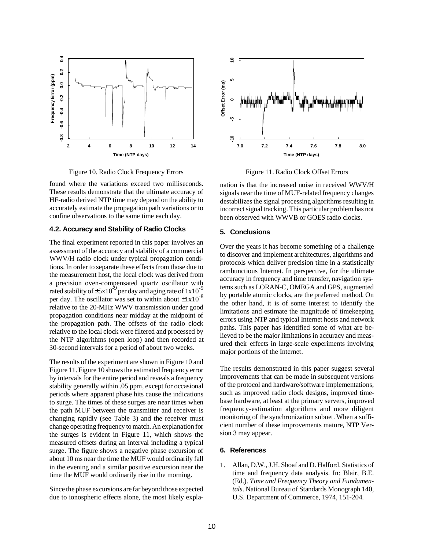

Figure 10. Radio Clock Frequency Errors

found where the variations exceed two milliseconds. These results demonstrate that the ultimate accuracy of HF-radio derived NTP time may depend on the ability to accurately estimate the propagation path variations or to confine observations to the same time each day.

## **4.2. Accuracy and Stability of Radio Clocks**

The final experiment reported in this paper involves an assessment of the accuracy and stability of a commercial WWV/H radio clock under typical propagation conditions. In order to separate these effects from those due to the measurement host, the local clock was derived from a precision oven-compensated quartz oscillator with rated stability of  $\pm$ 5x10<sup>-9</sup> per day and aging rate of 1x10<sup>-9</sup> per day. The oscillator was set to within about  $\pm 1x10^{-8}$ relative to the 20-MHz WWV transmission under good propagation conditions near midday at the midpoint of the propagation path. The offsets of the radio clock relative to the local clock were filtered and processed by the NTP algorithms (open loop) and then recorded at 30-second intervals for a period of about two weeks.

The results of the experiment are shown in Figure 10 and Figure 11. Figure 10 shows the estimated frequency error by intervals for the entire period and reveals a frequency stability generally within .05 ppm, except for occasional periods where apparent phase hits cause the indications to surge. The times of these surges are near times when the path MUF between the transmitter and receiver is changing rapidly (see Table 3) and the receiver must change operating frequency to match. An explanation for the surges is evident in Figure 11, which shows the measured offsets during an interval including a typical surge. The figure shows a negative phase excursion of about 10 ms near the time the MUF would ordinarily fall in the evening and a similar positive excursion near the time the MUF would ordinarily rise in the morning.

Since the phase excursions are far beyond those expected due to ionospheric effects alone, the most likely expla-



Figure 11. Radio Clock Offset Errors

nation is that the increased noise in received WWV/H signals near the time of MUF-related frequency changes destabilizes the signal processing algorithms resulting in incorrect signal tracking. This particular problem has not been observed with WWVB or GOES radio clocks.

#### **5. Conclusions**

Over the years it has become something of a challenge to discover and implement architectures, algorithms and protocols which deliver precision time in a statistically rambunctious Internet. In perspective, for the ultimate accuracy in frequency and time transfer, navigation systems such as LORAN-C, OMEGA and GPS, augmented by portable atomic clocks, are the preferred method. On the other hand, it is of some interest to identify the limitations and estimate the magnitude of timekeeping errors using NTP and typical Internet hosts and network paths. This paper has identified some of what are believed to be the major limitations in accuracy and measured their effects in large-scale experiments involving major portions of the Internet.

The results demonstrated in this paper suggest several improvements that can be made in subsequent versions of the protocol and hardware/software implementations, such as improved radio clock designs, improved timebase hardware, at least at the primary servers, improved frequency-estimation algorithms and more diligent monitoring of the synchronization subnet. When a sufficient number of these improvements mature, NTP Version 3 may appear.

### **6. References**

1. Allan, D.W., J.H. Shoaf and D. Halford. Statistics of time and frequency data analysis. In: Blair, B.E. (Ed.). *Time and Frequency Theory and Fundamentals*. National Bureau of Standards Monograph 140, U.S. Department of Commerce, 1974, 151-204.